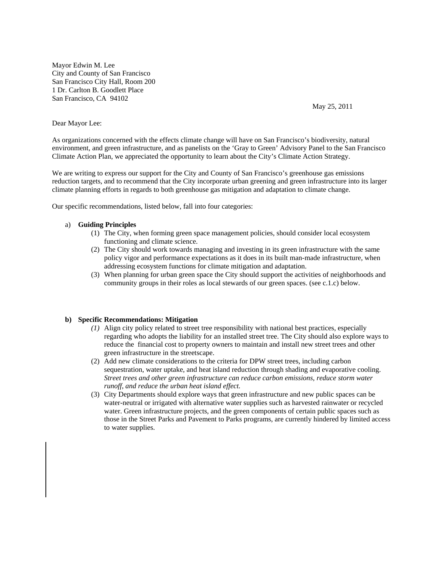Mayor Edwin M. Lee City and County of San Francisco San Francisco City Hall, Room 200 1 Dr. Carlton B. Goodlett Place San Francisco, CA 94102

May 25, 2011

## Dear Mayor Lee:

As organizations concerned with the effects climate change will have on San Francisco's biodiversity, natural environment, and green infrastructure, and as panelists on the 'Gray to Green' Advisory Panel to the San Francisco Climate Action Plan, we appreciated the opportunity to learn about the City's Climate Action Strategy.

We are writing to express our support for the City and County of San Francisco's greenhouse gas emissions reduction targets, and to recommend that the City incorporate urban greening and green infrastructure into its larger climate planning efforts in regards to both greenhouse gas mitigation and adaptation to climate change.

Our specific recommendations, listed below, fall into four categories:

### a) **Guiding Principles**

- (1) The City, when forming green space management policies, should consider local ecosystem functioning and climate science.
- (2) The City should work towards managing and investing in its green infrastructure with the same policy vigor and performance expectations as it does in its built man-made infrastructure, when addressing ecosystem functions for climate mitigation and adaptation.
- (3) When planning for urban green space the City should support the activities of neighborhoods and community groups in their roles as local stewards of our green spaces. (see c.1.c) below.

### **b) Specific Recommendations: Mitigation**

- *(1)* Align city policy related to street tree responsibility with national best practices, especially regarding who adopts the liability for an installed street tree. The City should also explore ways to reduce the financial cost to property owners to maintain and install new street trees and other green infrastructure in the streetscape.
- (2) Add new climate considerations to the criteria for DPW street trees, including carbon sequestration, water uptake, and heat island reduction through shading and evaporative cooling. *Street trees and other green infrastructure can reduce carbon emissions, reduce storm water runoff, and reduce the urban heat island effect.*
- (3) City Departments should explore ways that green infrastructure and new public spaces can be water-neutral or irrigated with alternative water supplies such as harvested rainwater or recycled water. Green infrastructure projects, and the green components of certain public spaces such as those in the Street Parks and Pavement to Parks programs, are currently hindered by limited access to water supplies.